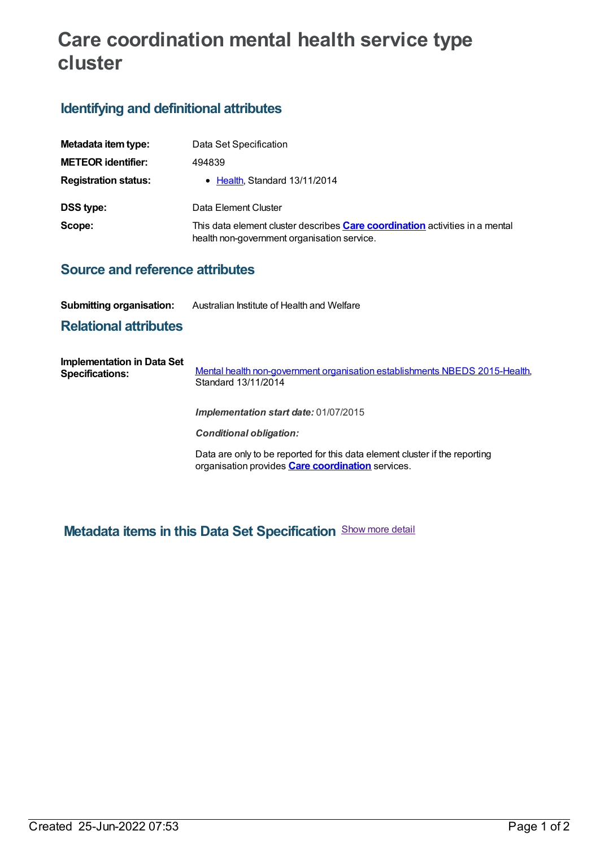# **Care coordination mental health service type cluster**

# **Identifying and definitional attributes**

| Metadata item type:                                                                                                                          | Data Set Specification        |
|----------------------------------------------------------------------------------------------------------------------------------------------|-------------------------------|
| <b>METEOR identifier:</b>                                                                                                                    | 494839                        |
| <b>Registration status:</b>                                                                                                                  | • Health, Standard 13/11/2014 |
| <b>DSS type:</b>                                                                                                                             | Data Element Cluster          |
| Scope:<br>This data element cluster describes <b>Care coordination</b> activities in a mental<br>health non-government organisation service. |                               |

#### **Source and reference attributes**

**Submitting organisation:** Australian Institute of Health and Welfare

### **Relational attributes**

| Implementation in Data Set<br><b>Specifications:</b> | Mental health non-government organisation establishments NBEDS 2015-Health,<br>Standard 13/11/2014                                      |
|------------------------------------------------------|-----------------------------------------------------------------------------------------------------------------------------------------|
|                                                      | <b>Implementation start date: 01/07/2015</b>                                                                                            |
|                                                      | <b>Conditional obligation:</b>                                                                                                          |
|                                                      | Data are only to be reported for this data element cluster if the reporting<br>organisation provides <b>Care coordination</b> services. |

## **Metadata items in this Data Set Specification** Show more detail